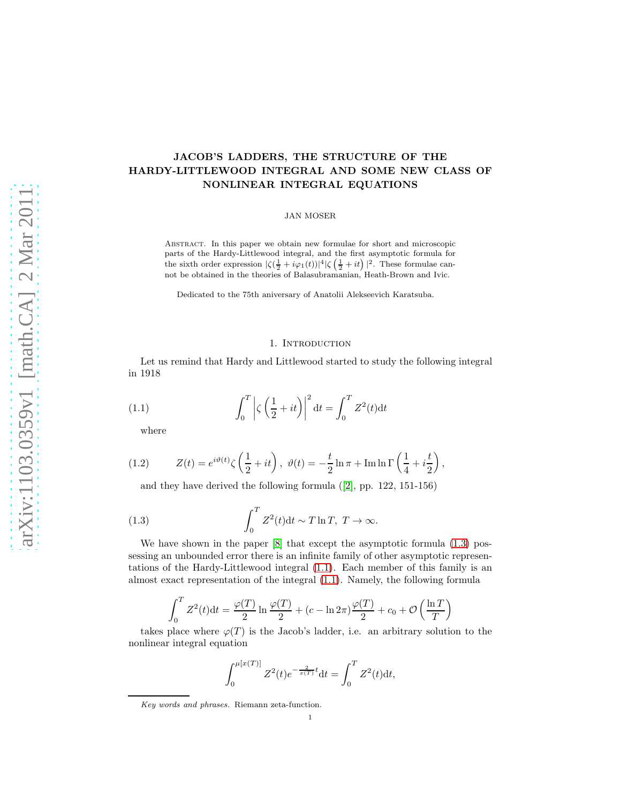# JACOB'S LADDERS, THE STRUCTURE OF THE HARDY-LITTLEWOOD INTEGRAL AND SOME NEW CLASS OF NONLINEAR INTEGRAL EQUATIONS

#### JAN MOSER

Abstract. In this paper we obtain new formulae for short and microscopic parts of the Hardy-Littlewood integral, and the first asymptotic formula for the sixth order expression  $|\zeta(\frac{1}{2}+i\varphi_1(t))|^4 |\zeta(\frac{1}{2}+it)|^2$ . These formulae cannot be obtained in the theories of Balasubramanian, Heath-Brown and Ivic.

Dedicated to the 75th aniversary of Anatolii Alekseevich Karatsuba.

### <span id="page-0-1"></span>1. INTRODUCTION

Let us remind that Hardy and Littlewood started to study the following integral in 1918

(1.1) 
$$
\int_0^T \left| \zeta \left( \frac{1}{2} + it \right) \right|^2 dt = \int_0^T Z^2(t) dt
$$

where

(1.2) 
$$
Z(t) = e^{i\vartheta(t)} \zeta \left(\frac{1}{2} + it\right), \ \vartheta(t) = -\frac{t}{2} \ln \pi + \operatorname{Im} \ln \Gamma \left(\frac{1}{4} + i\frac{t}{2}\right),
$$

<span id="page-0-2"></span><span id="page-0-0"></span>and they have derived the following formula([\[2\]](#page-15-0), pp. 122, 151-156)

(1.3) 
$$
\int_0^T Z^2(t)dt \sim T \ln T, T \to \infty.
$$

We have shown in the paper  $[8]$  that except the asymptotic formula  $(1.3)$  possessing an unbounded error there is an infinite family of other asymptotic representations of the Hardy-Littlewood integral [\(1.1\)](#page-0-1). Each member of this family is an almost exact representation of the integral [\(1.1\)](#page-0-1). Namely, the following formula

$$
\int_0^T Z^2(t)dt = \frac{\varphi(T)}{2} \ln \frac{\varphi(T)}{2} + (c - \ln 2\pi) \frac{\varphi(T)}{2} + c_0 + \mathcal{O}\left(\frac{\ln T}{T}\right)
$$

takes place where  $\varphi(T)$  is the Jacob's ladder, i.e. an arbitrary solution to the nonlinear integral equation

$$
\int_0^{\mu[x(T)]} Z^2(t)e^{-\frac{2}{x(T)}t}dt = \int_0^T Z^2(t)dt,
$$

Key words and phrases. Riemann zeta-function.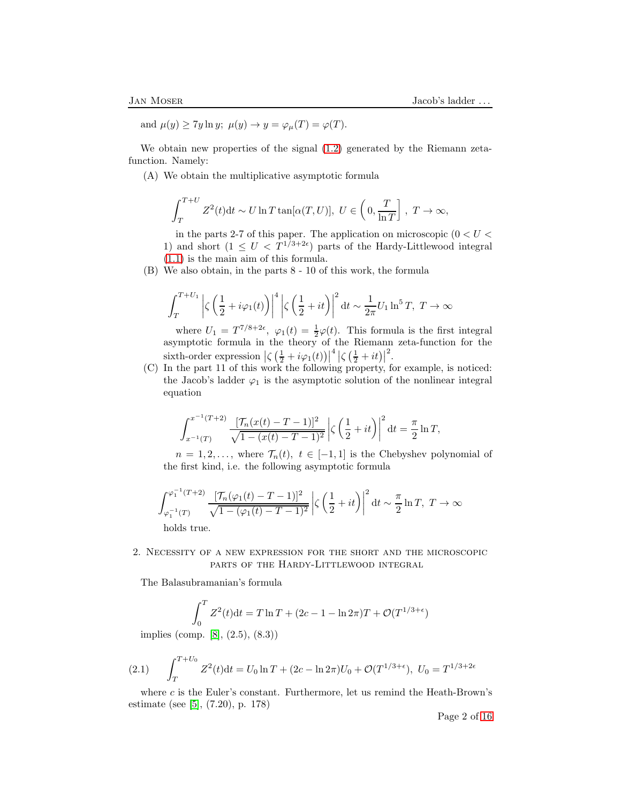and  $\mu(y) \geq 7y \ln y$ ;  $\mu(y) \to y = \varphi_{\mu}(T) = \varphi(T)$ .

We obtain new properties of the signal [\(1.2\)](#page-0-2) generated by the Riemann zetafunction. Namely:

(A) We obtain the multiplicative asymptotic formula

$$
\int_T^{T+U} Z^2(t) dt \sim U \ln T \tan[\alpha(T, U)], U \in \left(0, \frac{T}{\ln T}\right], T \to \infty,
$$

in the parts 2-7 of this paper. The application on microscopic ( $0 < U <$ 1) and short  $(1 \leq U < T^{1/3+2\epsilon})$  parts of the Hardy-Littlewood integral [\(1.1\)](#page-0-1) is the main aim of this formula.

(B) We also obtain, in the parts 8 - 10 of this work, the formula

$$
\int_{T}^{T+U_{1}} \left| \zeta \left( \frac{1}{2} + i \varphi_{1}(t) \right) \right|^{4} \left| \zeta \left( \frac{1}{2} + it \right) \right|^{2} dt \sim \frac{1}{2\pi} U_{1} \ln^{5} T, T \to \infty
$$

where  $U_1 = T^{7/8+2\epsilon}$ ,  $\varphi_1(t) = \frac{1}{2}\varphi(t)$ . This formula is the first integral asymptotic formula in the theory of the Riemann zeta-function for the sixth-order expression  $\left|\zeta\left(\frac{1}{2}+i\varphi_1(t)\right)\right|$  $\frac{4}{5} \left| \zeta \left( \frac{1}{2} + it \right) \right|$ 2 .

(C) In the part 11 of this work the following property, for example, is noticed: the Jacob's ladder  $\varphi_1$  is the asymptotic solution of the nonlinear integral equation

$$
\int_{x^{-1}(T)}^{x^{-1}(T+2)} \frac{[\mathcal{T}_n(x(t) - T - 1)]^2}{\sqrt{1 - (x(t) - T - 1)^2}} \left| \zeta \left( \frac{1}{2} + it \right) \right|^2 dt = \frac{\pi}{2} \ln T,
$$

 $n = 1, 2, \ldots$ , where  $\mathcal{T}_n(t)$ ,  $t \in [-1, 1]$  is the Chebyshev polynomial of the first kind, i.e. the following asymptotic formula

$$
\int_{\varphi_1^{-1}(T)}^{\varphi_1^{-1}(T+2)} \frac{[\mathcal{T}_n(\varphi_1(t) - T - 1)]^2}{\sqrt{1 - (\varphi_1(t) - T - 1)^2}} \left| \zeta\left(\frac{1}{2} + it\right) \right|^2 dt \sim \frac{\pi}{2} \ln T, \ T \to \infty
$$

holds true.

2. Necessity of a new expression for the short and the microscopic parts of the Hardy-Littlewood integral

The Balasubramanian's formula

$$
\int_0^T Z^2(t)dt = T \ln T + (2c - 1 - \ln 2\pi)T + \mathcal{O}(T^{1/3 + \epsilon})
$$

implies (comp. [\[8\]](#page-15-1), (2.5), (8.3))

<span id="page-1-0"></span>(2.1) 
$$
\int_{T}^{T+U_0} Z^2(t)dt = U_0 \ln T + (2c - \ln 2\pi)U_0 + \mathcal{O}(T^{1/3+\epsilon}), \ U_0 = T^{1/3+2\epsilon}
$$

where  $c$  is the Euler's constant. Furthermore, let us remind the Heath-Brown's estimate (see [\[5\]](#page-15-2), (7.20), p. 178)

Page 2 of [16](#page-15-3)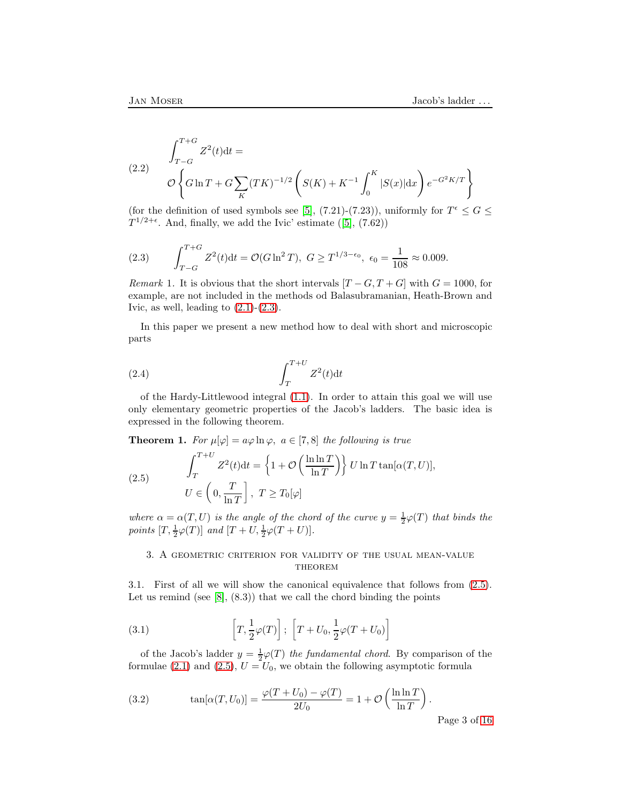(2.2) 
$$
\int_{T-G}^{T+G} Z^2(t)dt =
$$

$$
\mathcal{O}\left\{G\ln T + G\sum_{K} (TK)^{-1/2} \left(S(K) + K^{-1} \int_0^K |S(x)|dx\right) e^{-G^2K/T}\right\}
$$

(for the definition of used symbols see [\[5\]](#page-15-2), (7.21)-(7.23)), uniformly for  $T^{\epsilon} \le G \le$  $T^{1/2+\epsilon}$ .And, finally, we add the Ivic' estimate ([\[5\]](#page-15-2), (7.62))

<span id="page-2-0"></span>(2.3) 
$$
\int_{T-G}^{T+G} Z^2(t)dt = \mathcal{O}(G \ln^2 T), \ G \geq T^{1/3 - \epsilon_0}, \ \epsilon_0 = \frac{1}{108} \approx 0.009.
$$

Remark 1. It is obvious that the short intervals  $[T - G, T + G]$  with  $G = 1000$ , for example, are not included in the methods od Balasubramanian, Heath-Brown and Ivic, as well, leading to  $(2.1)-(2.3)$  $(2.1)-(2.3)$ .

In this paper we present a new method how to deal with short and microscopic parts

<span id="page-2-4"></span>
$$
\int_{T}^{T+U} Z^2(t) \mathrm{d}t
$$

of the Hardy-Littlewood integral [\(1.1\)](#page-0-1). In order to attain this goal we will use only elementary geometric properties of the Jacob's ladders. The basic idea is expressed in the following theorem.

**Theorem 1.** For  $\mu[\varphi] = a\varphi \ln \varphi$ ,  $a \in [7, 8]$  the following is true

<span id="page-2-1"></span>(2.5) 
$$
\int_{T}^{T+U} Z^{2}(t)dt = \left\{1 + \mathcal{O}\left(\frac{\ln \ln T}{\ln T}\right)\right\} U \ln T \tan[\alpha(T, U)],
$$

$$
U \in \left(0, \frac{T}{\ln T}\right], T \geq T_{0}[\varphi]
$$

where  $\alpha = \alpha(T, U)$  is the angle of the chord of the curve  $y = \frac{1}{2}\varphi(T)$  that binds the points  $[T, \frac{1}{2}\varphi(T)]$  and  $[T + U, \frac{1}{2}\varphi(T + U)].$ 

# 3. A geometric criterion for validity of the usual mean-value **THEOREM**

3.1. First of all we will show the canonical equivalence that follows from [\(2.5\)](#page-2-1). Let us remind (see  $[8]$ ,  $(8.3)$ ) that we call the chord binding the points

<span id="page-2-3"></span>(3.1) 
$$
\left[T, \frac{1}{2}\varphi(T)\right]; \left[T + U_0, \frac{1}{2}\varphi(T + U_0)\right]
$$

of the Jacob's ladder  $y = \frac{1}{2}\varphi(T)$  the fundamental chord. By comparison of the formulae [\(2.1\)](#page-1-0) and [\(2.5\)](#page-2-1),  $U = U_0$ , we obtain the following asymptotic formula

<span id="page-2-2"></span>(3.2) 
$$
\tan[\alpha(T, U_0)] = \frac{\varphi(T + U_0) - \varphi(T)}{2U_0} = 1 + \mathcal{O}\left(\frac{\ln \ln T}{\ln T}\right).
$$

Page 3 of [16](#page-15-3)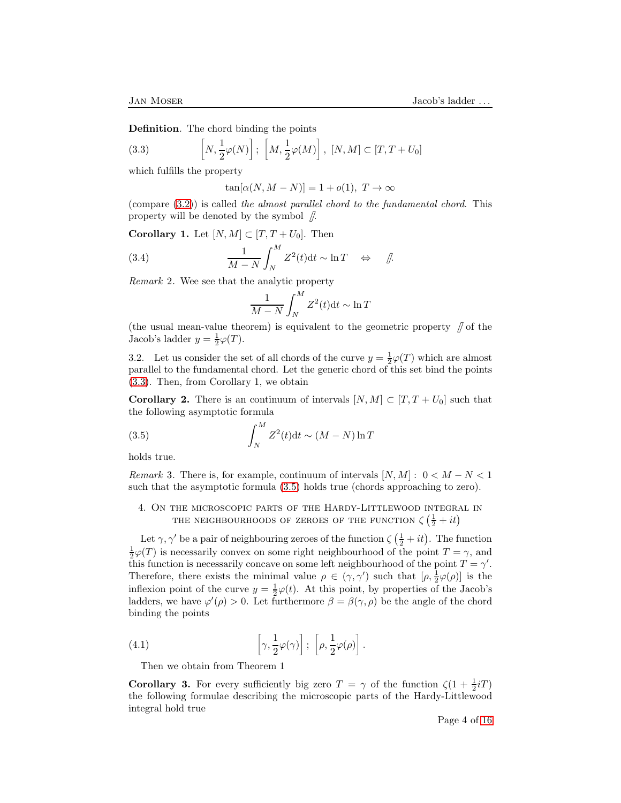Definition. The chord binding the points

(3.3) 
$$
\left[N, \frac{1}{2}\varphi(N)\right]; \left[M, \frac{1}{2}\varphi(M)\right], [N, M] \subset [T, T + U_0]
$$

which fulfills the property

<span id="page-3-0"></span> $\tan[\alpha(N, M - N)] = 1 + o(1), T \rightarrow \infty$ 

(compare  $(3.2)$ ) is called the almost parallel chord to the fundamental chord. This property will be denoted by the symbol  $\beta$ .

Corollary 1. Let  $[N, M] \subset [T, T + U_0]$ . Then

(3.4) 
$$
\frac{1}{M-N} \int_N^M Z^2(t) dt \sim \ln T \quad \Leftrightarrow \quad \text{if.}
$$

Remark 2. Wee see that the analytic property

<span id="page-3-3"></span>
$$
\frac{1}{M-N} \int_N^M Z^2(t) \mathrm{d}t \sim \ln T
$$

(the usual mean-value theorem) is equivalent to the geometric property  $\int$  of the Jacob's ladder  $y = \frac{1}{2}\varphi(T)$ .

3.2. Let us consider the set of all chords of the curve  $y = \frac{1}{2}\varphi(T)$  which are almost parallel to the fundamental chord. Let the generic chord of this set bind the points [\(3.3\)](#page-3-0). Then, from Corollary 1, we obtain

**Corollary 2.** There is an continuum of intervals  $[N, M] \subset [T, T + U_0]$  such that the following asymptotic formula

<span id="page-3-1"></span>(3.5) 
$$
\int_{N}^{M} Z^{2}(t)dt \sim (M-N)\ln T
$$

holds true.

Remark 3. There is, for example, continuum of intervals  $[N, M] : 0 < M - N < 1$ such that the asymptotic formula [\(3.5\)](#page-3-1) holds true (chords approaching to zero).

4. On the microscopic parts of the Hardy-Littlewood integral in THE NEIGHBOURHOODS OF ZEROES OF THE FUNCTION  $\zeta\left(\frac{1}{2} + it\right)$ 

Let  $\gamma$ ,  $\gamma'$  be a pair of neighbouring zeroes of the function  $\zeta(\frac{1}{2} + it)$ . The function  $\frac{1}{2}\varphi(T)$  is necessarily convex on some right neighbourhood of the point  $T = \gamma$ , and this function is necessarily concave on some left neighbourhood of the point  $T = \gamma'$ . Therefore, there exists the minimal value  $\rho \in (\gamma, \gamma')$  such that  $[\rho, \frac{1}{2}\varphi(\rho)]$  is the inflexion point of the curve  $y = \frac{1}{2}\varphi(t)$ . At this point, by properties of the Jacob's ladders, we have  $\varphi'(\rho) > 0$ . Let furthermore  $\beta = \beta(\gamma, \rho)$  be the angle of the chord binding the points

(4.1) 
$$
\left[\gamma, \frac{1}{2}\varphi(\gamma)\right]; \left[\rho, \frac{1}{2}\varphi(\rho)\right].
$$

<span id="page-3-2"></span>Then we obtain from Theorem 1

**Corollary 3.** For every sufficiently big zero  $T = \gamma$  of the function  $\zeta(1 + \frac{1}{2}iT)$ the following formulae describing the microscopic parts of the Hardy-Littlewood integral hold true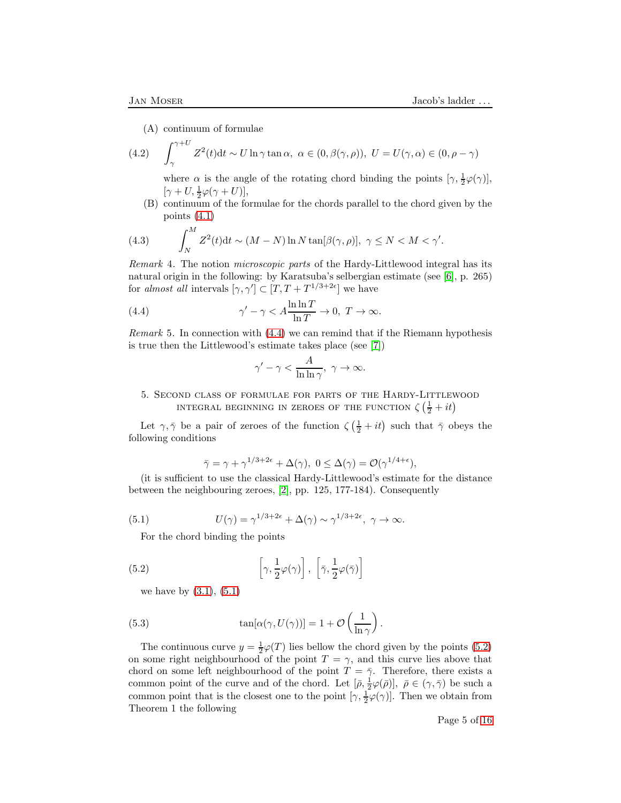(A) continuum of formulae

(4.2) 
$$
\int_{\gamma}^{\gamma+U} Z^2(t) dt \sim U \ln \gamma \tan \alpha, \ \alpha \in (0, \beta(\gamma, \rho)), \ U = U(\gamma, \alpha) \in (0, \rho - \gamma)
$$

<span id="page-4-3"></span>where  $\alpha$  is the angle of the rotating chord binding the points  $[\gamma, \frac{1}{2}\varphi(\gamma)]$ ,  $[\gamma + U, \frac{1}{2}\varphi(\gamma + U)],$ 

(B) continuum of the formulae for the chords parallel to the chord given by the points [\(4.1\)](#page-3-2)

<span id="page-4-4"></span>(4.3) 
$$
\int_{N}^{M} Z^{2}(t)dt \sim (M-N)\ln N \tan[\beta(\gamma,\rho)], \ \gamma \le N < M < \gamma'.
$$

Remark 4. The notion microscopic parts of the Hardy-Littlewood integral has its natural origin in the following: by Karatsuba's selbergian estimate (see [\[6\]](#page-15-4), p. 265) for almost all intervals  $[\gamma, \gamma'] \subset [T, T + T^{1/3+2\epsilon}]$  we have

(4.4) 
$$
\gamma' - \gamma < A \frac{\ln \ln T}{\ln T} \to 0, \ T \to \infty.
$$

*Remark* 5. In connection with  $(4.4)$  we can remind that if the Riemann hypothesis is true then the Littlewood's estimate takes place (see [\[7\]](#page-15-5))

<span id="page-4-0"></span>
$$
\gamma'-\gamma<\frac{A}{\ln\ln\gamma},\ \gamma\to\infty.
$$

5. Second class of formulae for parts of the Hardy-Littlewood INTEGRAL BEGINNING IN ZEROES OF THE FUNCTION  $\zeta\left(\frac{1}{2}+it\right)$ 

Let  $\gamma, \bar{\gamma}$  be a pair of zeroes of the function  $\zeta(\frac{1}{2} + it)$  such that  $\bar{\gamma}$  obeys the following conditions

<span id="page-4-2"></span><span id="page-4-1"></span>
$$
\bar{\gamma} = \gamma + \gamma^{1/3 + 2\epsilon} + \Delta(\gamma), \ 0 \le \Delta(\gamma) = \mathcal{O}(\gamma^{1/4 + \epsilon}),
$$

(it is sufficient to use the classical Hardy-Littlewood's estimate for the distance between the neighbouring zeroes, [\[2\]](#page-15-0), pp. 125, 177-184). Consequently

(5.1) 
$$
U(\gamma) = \gamma^{1/3+2\epsilon} + \Delta(\gamma) \sim \gamma^{1/3+2\epsilon}, \ \gamma \to \infty.
$$

For the chord binding the points

(5.2) 
$$
\left[\gamma, \frac{1}{2}\varphi(\gamma)\right], \left[\bar{\gamma}, \frac{1}{2}\varphi(\bar{\gamma})\right]
$$

we have by  $(3.1), (5.1)$  $(3.1), (5.1)$ 

(5.3) 
$$
\tan[\alpha(\gamma, U(\gamma))] = 1 + \mathcal{O}\left(\frac{1}{\ln \gamma}\right).
$$

The continuous curve  $y = \frac{1}{2}\varphi(T)$  lies bellow the chord given by the points [\(5.2\)](#page-4-2) on some right neighbourhood of the point  $T = \gamma$ , and this curve lies above that chord on some left neighbourhood of the point  $T = \overline{\gamma}$ . Therefore, there exists a common point of the curve and of the chord. Let  $[\bar{\rho}, \frac{1}{2}\varphi(\bar{\rho})], \ \bar{\rho} \in (\gamma, \bar{\gamma})$  be such a common point that is the closest one to the point  $[\gamma, \frac{1}{2}\varphi(\gamma)]$ . Then we obtain from Theorem 1 the following

Page 5 of [16](#page-15-3)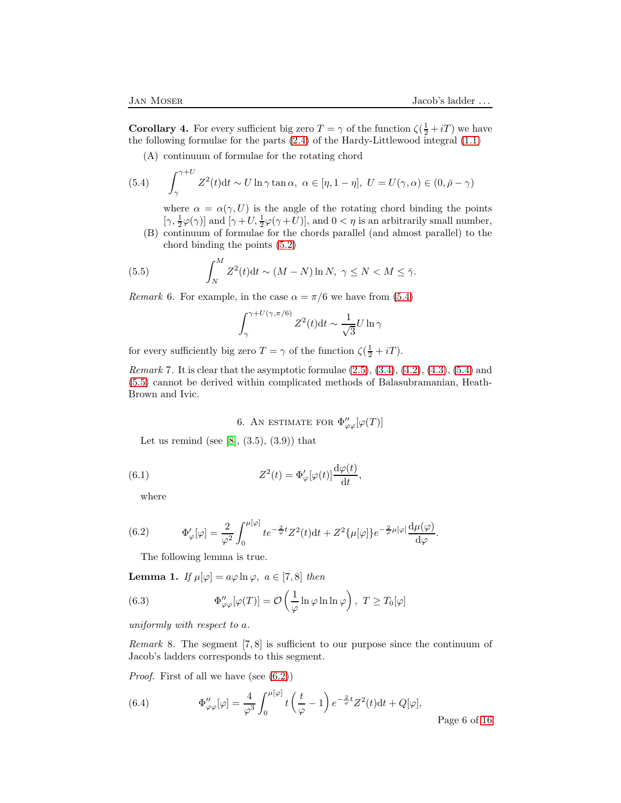**Corollary 4.** For every sufficient big zero  $T = \gamma$  of the function  $\zeta(\frac{1}{2} + iT)$  we have the following formulae for the parts  $(2.4)$  of the Hardy-Littlewood integral  $(1.1)$ 

(A) continuum of formulae for the rotating chord

(5.4) 
$$
\int_{\gamma}^{\gamma+U} Z^2(t) dt \sim U \ln \gamma \tan \alpha, \ \alpha \in [\eta, 1-\eta], \ U = U(\gamma, \alpha) \in (0, \bar{\rho} - \gamma)
$$

<span id="page-5-0"></span>where  $\alpha = \alpha(\gamma, U)$  is the angle of the rotating chord binding the points  $[\gamma, \frac{1}{2}\varphi(\gamma)]$  and  $[\gamma+U, \frac{1}{2}\varphi(\gamma+U)]$ , and  $0 < \eta$  is an arbitrarily small number,

(B) continuum of formulae for the chords parallel (and almost parallel) to the chord binding the points [\(5.2\)](#page-4-2)

(5.5) 
$$
\int_{N}^{M} Z^{2}(t)dt \sim (M-N)\ln N, \ \gamma \leq N < M \leq \bar{\gamma}.
$$

*Remark* 6. For example, in the case  $\alpha = \pi/6$  we have from [\(5.4\)](#page-5-0)

<span id="page-5-1"></span>
$$
\int_{\gamma}^{\gamma+U(\gamma,\pi/6)} Z^2(t) \mathrm{d}t \sim \frac{1}{\sqrt{3}} U \ln \gamma
$$

for every sufficiently big zero  $T = \gamma$  of the function  $\zeta(\frac{1}{2} + iT)$ .

*Remark* 7. It is clear that the asymptotic formulae  $(2.5), (3.4), (4.2), (4.3), (5.4)$  $(2.5), (3.4), (4.2), (4.3), (5.4)$  $(2.5), (3.4), (4.2), (4.3), (5.4)$  $(2.5), (3.4), (4.2), (4.3), (5.4)$  $(2.5), (3.4), (4.2), (4.3), (5.4)$  $(2.5), (3.4), (4.2), (4.3), (5.4)$  $(2.5), (3.4), (4.2), (4.3), (5.4)$  $(2.5), (3.4), (4.2), (4.3), (5.4)$  and [\(5.5\)](#page-5-1) cannot be derived within complicated methods of Balasubramanian, Heath-Brown and Ivic.

<span id="page-5-5"></span>6. An estimate for 
$$
\Phi''_{\varphi\varphi}[\varphi(T)]
$$

Let us remind (see [\[8\]](#page-15-1),  $(3.5)$ ,  $(3.9)$ ) that

(6.1) 
$$
Z^{2}(t) = \Phi_{\varphi}'[\varphi(t)] \frac{\mathrm{d}\varphi(t)}{\mathrm{d}t},
$$

where

<span id="page-5-2"></span>(6.2) 
$$
\Phi'_{\varphi}[\varphi] = \frac{2}{\varphi^2} \int_0^{\mu[\varphi]} te^{-\frac{2}{\varphi}t} Z^2(t) dt + Z^2 \{\mu[\varphi]\} e^{-\frac{2}{\varphi}\mu[\varphi]} \frac{d\mu(\varphi)}{d\varphi}.
$$

<span id="page-5-3"></span>The following lemma is true.

**Lemma 1.** If  $\mu[\varphi] = a\varphi \ln \varphi$ ,  $a \in [7, 8]$  then

(6.3) 
$$
\Phi''_{\varphi\varphi}[\varphi(T)] = \mathcal{O}\left(\frac{1}{\varphi}\ln\varphi\ln\ln\varphi\right), \ T \ge T_0[\varphi]
$$

uniformly with respect to a.

*Remark* 8. The segment  $[7, 8]$  is sufficient to our purpose since the continuum of Jacob's ladders corresponds to this segment.

*Proof.* First of all we have (see  $(6.2)$ )

<span id="page-5-4"></span>(6.4) 
$$
\Phi''_{\varphi\varphi}[\varphi] = \frac{4}{\varphi^3} \int_0^{\mu[\varphi]} t\left(\frac{t}{\varphi} - 1\right) e^{-\frac{2}{\varphi}t} Z^2(t) dt + Q[\varphi],
$$
 Page 6 of 16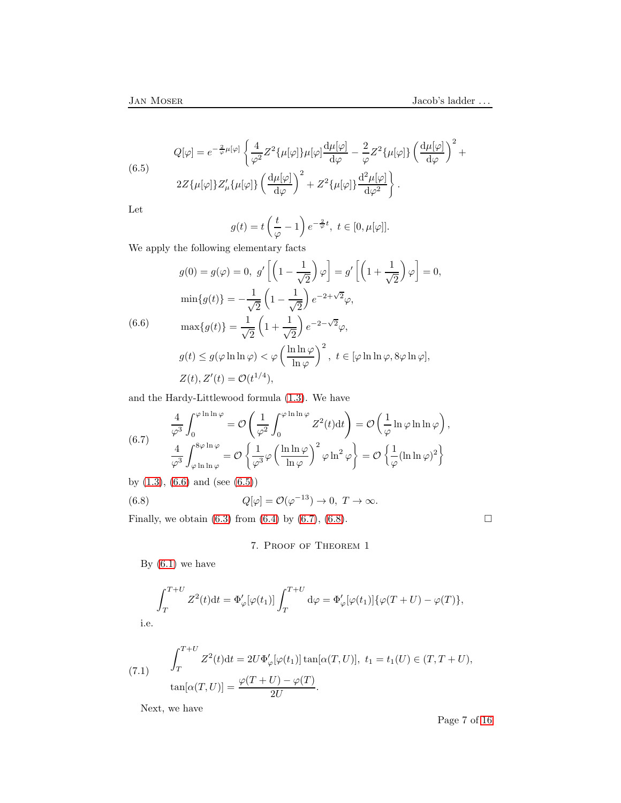<span id="page-6-1"></span>(6.5)  
\n
$$
Q[\varphi] = e^{-\frac{2}{\varphi}\mu[\varphi]} \left\{ \frac{4}{\varphi^2} Z^2 \{\mu[\varphi]\} \mu[\varphi] \frac{d\mu[\varphi]}{d\varphi} - \frac{2}{\varphi} Z^2 \{\mu[\varphi]\} \left(\frac{d\mu[\varphi]}{d\varphi}\right)^2 + 2Z \{\mu[\varphi]\} Z'_{\mu} \{\mu[\varphi]\} \left(\frac{d\mu[\varphi]}{d\varphi}\right)^2 + Z^2 \{\mu[\varphi]\} \frac{d^2\mu[\varphi]}{d\varphi^2} \right\}.
$$

Let

$$
g(t) = t\left(\frac{t}{\varphi} - 1\right)e^{-\frac{2}{\varphi}t}, \ t \in [0, \mu[\varphi]].
$$

We apply the following elementary facts

<span id="page-6-0"></span>
$$
g(0) = g(\varphi) = 0, \ g'\left[\left(1 - \frac{1}{\sqrt{2}}\right)\varphi\right] = g'\left[\left(1 + \frac{1}{\sqrt{2}}\right)\varphi\right] = 0,
$$
  
\n
$$
\min\{g(t)\} = -\frac{1}{\sqrt{2}}\left(1 - \frac{1}{\sqrt{2}}\right)e^{-2 + \sqrt{2}}\varphi,
$$
  
\n(6.6)  
\n
$$
\max\{g(t)\} = \frac{1}{\sqrt{2}}\left(1 + \frac{1}{\sqrt{2}}\right)e^{-2 - \sqrt{2}}\varphi,
$$
  
\n
$$
g(t) \le g(\varphi \ln \ln \varphi) < \varphi\left(\frac{\ln \ln \varphi}{\ln \varphi}\right)^2, \ t \in [\varphi \ln \ln \varphi, 8\varphi \ln \varphi],
$$
  
\n
$$
Z(t), Z'(t) = \mathcal{O}(t^{1/4}),
$$

and the Hardy-Littlewood formula [\(1.3\)](#page-0-0). We have

<span id="page-6-2"></span>(6.7) 
$$
\frac{4}{\varphi^3} \int_0^{\varphi \ln \ln \varphi} = \mathcal{O}\left(\frac{1}{\varphi^2} \int_0^{\varphi \ln \ln \varphi} Z^2(t) dt\right) = \mathcal{O}\left(\frac{1}{\varphi} \ln \varphi \ln \ln \varphi\right),
$$

$$
\frac{4}{\varphi^3} \int_{\varphi \ln \ln \varphi}^{8\varphi \ln \varphi} = \mathcal{O}\left\{\frac{1}{\varphi^3} \varphi \left(\frac{\ln \ln \varphi}{\ln \varphi}\right)^2 \varphi \ln^2 \varphi\right\} = \mathcal{O}\left\{\frac{1}{\varphi} (\ln \ln \varphi)^2\right\}
$$

by  $(1.3)$ ,  $(6.6)$  and  $(\text{see } (6.5))$  $(\text{see } (6.5))$  $(\text{see } (6.5))$ 

(6.8) 
$$
Q[\varphi] = \mathcal{O}(\varphi^{-13}) \to 0, T \to \infty.
$$

Finally, we obtain [\(6.3\)](#page-5-3) from [\(6.4\)](#page-5-4) by [\(6.7\)](#page-6-2), [\(6.8\)](#page-6-3).

<span id="page-6-3"></span>7. Proof of Theorem 1

By  $(6.1)$  we have

$$
\int_T^{T+U} Z^2(t)dt = \Phi'_{\varphi}[\varphi(t_1)] \int_T^{T+U} d\varphi = \Phi'_{\varphi}[\varphi(t_1)]\{\varphi(T+U) - \varphi(T)\},
$$

i.e.

<span id="page-6-4"></span>(7.1) 
$$
\int_{T}^{T+U} Z^{2}(t)dt = 2U\Phi_{\varphi}'[\varphi(t_{1})] \tan[\alpha(T,U)], t_{1} = t_{1}(U) \in (T, T+U),
$$

$$
\tan[\alpha(T,U)] = \frac{\varphi(T+U) - \varphi(T)}{2U}.
$$

Next, we have

Page 7 of [16](#page-15-3)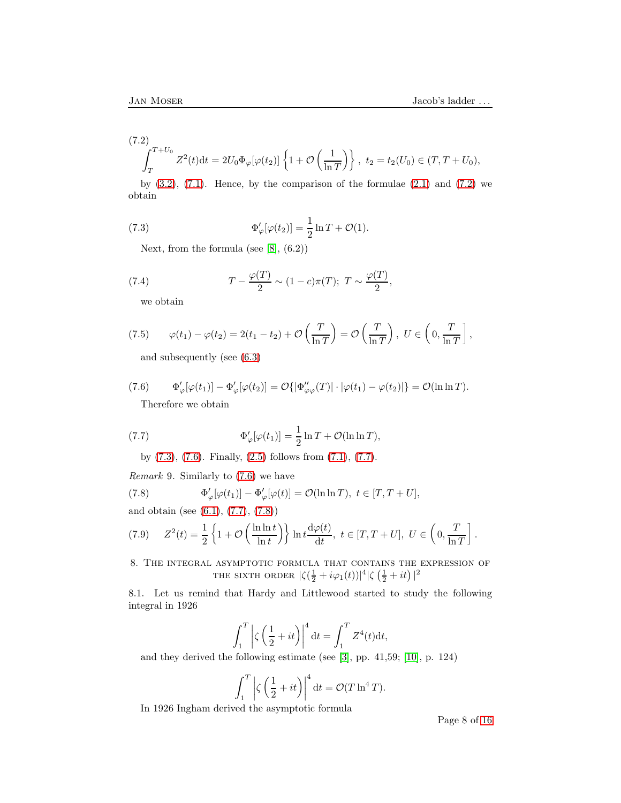<span id="page-7-0"></span>
$$
(7.2)
$$
  

$$
\int_{T}^{T+U_0} Z^2(t)dt = 2U_0 \Phi_{\varphi}[\varphi(t_2)] \left\{ 1 + \mathcal{O}\left(\frac{1}{\ln T}\right) \right\}, \ t_2 = t_2(U_0) \in (T, T + U_0),
$$

by  $(3.2)$ ,  $(7.1)$ . Hence, by the comparison of the formulae  $(2.1)$  and  $(7.2)$  we obtain

(7.3) 
$$
\Phi'_{\varphi}[\varphi(t_2)] = \frac{1}{2}\ln T + \mathcal{O}(1).
$$

<span id="page-7-1"></span>Next, from the formula (see  $[8]$ ,  $(6.2)$ )

(7.4) 
$$
T - \frac{\varphi(T)}{2} \sim (1 - c)\pi(T); \ T \sim \frac{\varphi(T)}{2},
$$

we obtain

(7.5) 
$$
\varphi(t_1) - \varphi(t_2) = 2(t_1 - t_2) + \mathcal{O}\left(\frac{T}{\ln T}\right) = \mathcal{O}\left(\frac{T}{\ln T}\right), \ U \in \left(0, \frac{T}{\ln T}\right],
$$

and subsequently (see [\(6.3\)](#page-5-3)

(7.6) 
$$
\Phi_{\varphi}'[\varphi(t_1)] - \Phi_{\varphi}'[\varphi(t_2)] = \mathcal{O}\{|\Phi_{\varphi\varphi}''(T)| \cdot |\varphi(t_1) - \varphi(t_2)|\} = \mathcal{O}(\ln \ln T).
$$
Therefore we obtain

<span id="page-7-3"></span><span id="page-7-2"></span>Therefore we obtain

(7.7) 
$$
\Phi'_{\varphi}[\varphi(t_1)] = \frac{1}{2}\ln T + \mathcal{O}(\ln \ln T),
$$

by [\(7.3\)](#page-7-1), [\(7.6\)](#page-7-2). Finally, [\(2.5\)](#page-2-1) follows from [\(7.1\)](#page-6-4), [\(7.7\)](#page-7-3).

Remark 9. Similarly to [\(7.6\)](#page-7-2) we have

<span id="page-7-4"></span>(7.8) 
$$
\Phi'_{\varphi}[\varphi(t_1)] - \Phi'_{\varphi}[\varphi(t)] = \mathcal{O}(\ln \ln T), \ t \in [T, T + U],
$$

and obtain (see [\(6.1\)](#page-5-5), [\(7.7\)](#page-7-3), [\(7.8\)](#page-7-4))

(7.9) 
$$
Z^{2}(t) = \frac{1}{2} \left\{ 1 + \mathcal{O}\left(\frac{\ln \ln t}{\ln t}\right) \right\} \ln t \frac{d\varphi(t)}{dt}, \ t \in [T, T + U], \ U \in \left(0, \frac{T}{\ln T}\right].
$$

8. The integral asymptotic formula that contains the expression of THE SIXTH ORDER  $|\zeta(\frac{1}{2}+i\varphi_1(t))|^4 |\zeta(\frac{1}{2}+it)|^2$ 

8.1. Let us remind that Hardy and Littlewood started to study the following integral in 1926

$$
\int_{1}^{T} \left| \zeta \left( \frac{1}{2} + it \right) \right|^{4} dt = \int_{1}^{T} Z^{4}(t) dt,
$$

and they derived the following estimate (see [\[3\]](#page-15-6), pp. 41,59; [\[10\]](#page-15-7), p. 124)

$$
\int_{1}^{T} \left| \zeta \left( \frac{1}{2} + it \right) \right|^{4} dt = \mathcal{O}(T \ln^{4} T).
$$

In 1926 Ingham derived the asymptotic formula

Page 8 of [16](#page-15-3)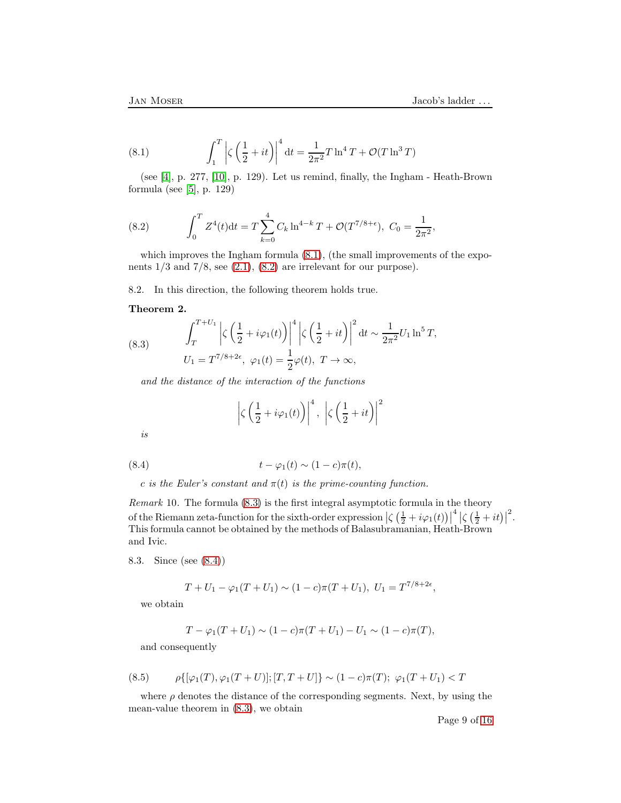<span id="page-8-0"></span>(8.1) 
$$
\int_{1}^{T} \left| \zeta \left( \frac{1}{2} + it \right) \right|^{4} dt = \frac{1}{2\pi^{2}} T \ln^{4} T + \mathcal{O}(T \ln^{3} T)
$$

(see [\[4\]](#page-15-8), p. 277, [\[10\]](#page-15-7), p. 129). Let us remind, finally, the Ingham - Heath-Brown formula (see [\[5\]](#page-15-2), p. 129)

<span id="page-8-1"></span>(8.2) 
$$
\int_0^T Z^4(t)dt = T \sum_{k=0}^4 C_k \ln^{4-k} T + \mathcal{O}(T^{7/8+\epsilon}), \ C_0 = \frac{1}{2\pi^2},
$$

which improves the Ingham formula  $(8.1)$ , (the small improvements of the exponents  $1/3$  and  $7/8$ , see  $(2.1)$ ,  $(8.2)$  are irrelevant for our purpose).

8.2. In this direction, the following theorem holds true.

### Theorem 2.

<span id="page-8-2"></span>(8.3) 
$$
\int_{T}^{T+U_1} \left| \zeta \left( \frac{1}{2} + i \varphi_1(t) \right) \right|^4 \left| \zeta \left( \frac{1}{2} + it \right) \right|^2 dt \sim \frac{1}{2\pi^2} U_1 \ln^5 T,
$$
  

$$
U_1 = T^{7/8+2\epsilon}, \ \varphi_1(t) = \frac{1}{2} \varphi(t), \ T \to \infty,
$$

and the distance of the interaction of the functions

<span id="page-8-3"></span>
$$
\left|\zeta\left(\frac{1}{2}+i\varphi_1(t)\right)\right|^4, \left|\zeta\left(\frac{1}{2}+it\right)\right|^2
$$

is

(8.4) 
$$
t - \varphi_1(t) \sim (1 - c)\pi(t),
$$

c is the Euler's constant and  $\pi(t)$  is the prime-counting function.

Remark 10. The formula [\(8.3\)](#page-8-2) is the first integral asymptotic formula in the theory of the Riemann zeta-function for the sixth-order expression  $\left|\zeta\left(\frac{1}{2}+i\varphi_1(t)\right)\right|$  $\frac{4}{5} \left| \zeta \left( \frac{1}{2} + it \right) \right|$ 2 . This formula cannot be obtained by the methods of Balasubramanian, Heath-Brown and Ivic.

8.3. Since (see [\(8.4\)](#page-8-3))

$$
T + U_1 - \varphi_1(T + U_1) \sim (1 - c)\pi(T + U_1), \ U_1 = T^{7/8 + 2\epsilon},
$$

we obtain

$$
T - \varphi_1(T + U_1) \sim (1 - c)\pi(T + U_1) - U_1 \sim (1 - c)\pi(T),
$$

and consequently

<span id="page-8-4"></span>(8.5) 
$$
\rho\{[\varphi_1(T), \varphi_1(T+U)]; [T, T+U]\} \sim (1-c)\pi(T); \ \varphi_1(T+U_1) < T
$$

where  $\rho$  denotes the distance of the corresponding segments. Next, by using the mean-value theorem in [\(8.3\)](#page-8-2), we obtain

Page 9 of [16](#page-15-3)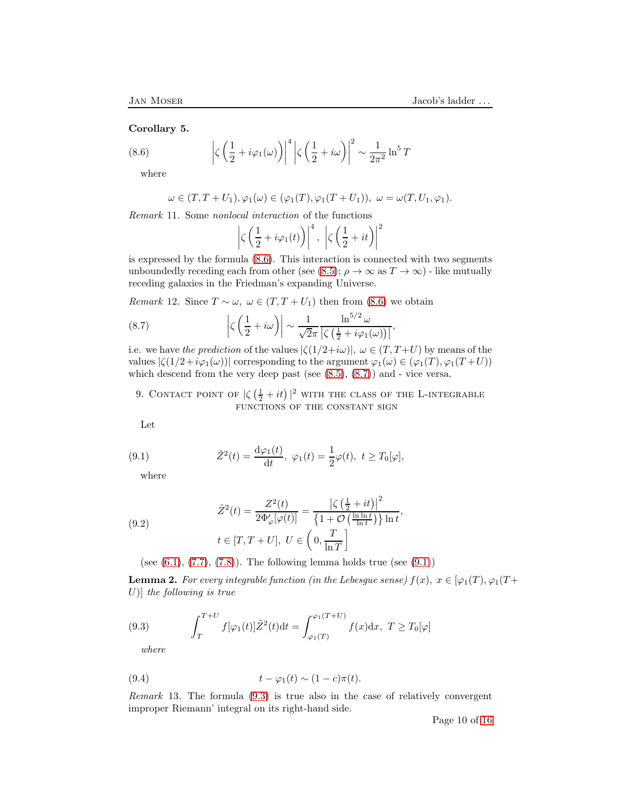## Corollary 5.

(8.6) 
$$
\left|\zeta\left(\frac{1}{2}+i\varphi_1(\omega)\right)\right|^4 \left|\zeta\left(\frac{1}{2}+i\omega\right)\right|^2 \sim \frac{1}{2\pi^2} \ln^5 T
$$

where

<span id="page-9-0"></span>
$$
\omega \in (T, T+U_1), \varphi_1(\omega) \in (\varphi_1(T), \varphi_1(T+U_1)), \ \omega = \omega(T, U_1, \varphi_1).
$$

Remark 11. Some nonlocal interaction of the functions

<span id="page-9-1"></span>
$$
\left|\zeta\left(\frac{1}{2}+i\varphi_1(t)\right)\right|^4, \left|\zeta\left(\frac{1}{2}+it\right)\right|^2
$$

is expressed by the formula [\(8.6\)](#page-9-0). This interaction is connected with two segments unboundedly receding each from other (see [\(8.5\)](#page-8-4);  $\rho \to \infty$  as  $T \to \infty$ ) - like mutually receding galaxies in the Friedman's expanding Universe.

Remark 12. Since  $T \sim \omega$ ,  $\omega \in (T, T + U_1)$  then from [\(8.6\)](#page-9-0) we obtain

(8.7) 
$$
\left|\zeta\left(\frac{1}{2}+i\omega\right)\right| \sim \frac{1}{\sqrt{2}\pi} \frac{\ln^{5/2} \omega}{\left|\zeta\left(\frac{1}{2}+i\varphi_1(\omega)\right)\right|},
$$

i.e. we have the prediction of the values  $|\zeta(1/2+i\omega)|, \omega \in (T, T+U)$  by means of the values  $|\zeta(1/2+i\varphi_1(\omega))|$  corresponding to the argument  $\varphi_1(\omega) \in (\varphi_1(T), \varphi_1(T+U))$ which descend from the very deep past (see [\(8.5\)](#page-8-4), [\(8.7\)](#page-9-1)) and - vice versa.

9. CONTACT POINT OF  $|\zeta(\frac{1}{2}+it)|^2$  with the class of the L-integrable functions of the constant sign

Let

(9.1) 
$$
\tilde{Z}^{2}(t) = \frac{d\varphi_{1}(t)}{dt}, \ \varphi_{1}(t) = \frac{1}{2}\varphi(t), \ t \geq T_{0}[\varphi],
$$

<span id="page-9-2"></span>where

<span id="page-9-4"></span>(9.2) 
$$
\tilde{Z}^{2}(t) = \frac{Z^{2}(t)}{2\Phi_{\varphi}'[\varphi(t)]} = \frac{\left|\zeta\left(\frac{1}{2} + it\right)\right|^{2}}{\left\{1 + \mathcal{O}\left(\frac{\ln \ln t}{\ln t}\right)\right\}\ln t},
$$

$$
t \in [T, T + U], U \in \left(0, \frac{T}{\ln T}\right]
$$

(see  $(6.1)$ ,  $(7.7)$ ,  $(7.8)$ ). The following lemma holds true (see  $(9.1)$ )

**Lemma 2.** For every integrable function (in the Lebesgue sense)  $f(x)$ ,  $x \in [\varphi_1(T), \varphi_1(T+\varphi_2)]$ U)] the following is true

(9.3) 
$$
\int_{T}^{T+U} f[\varphi_1(t)] \tilde{Z}^2(t) dt = \int_{\varphi_1(T)}^{\varphi_1(T+U)} f(x) dx, \ T \ge T_0[\varphi]
$$

<span id="page-9-5"></span><span id="page-9-3"></span>where

(9.4) 
$$
t - \varphi_1(t) \sim (1 - c)\pi(t).
$$

Remark 13. The formula [\(9.3\)](#page-9-3) is true also in the case of relatively convergent improper Riemann' integral on its right-hand side.

Page 10 of [16](#page-15-3)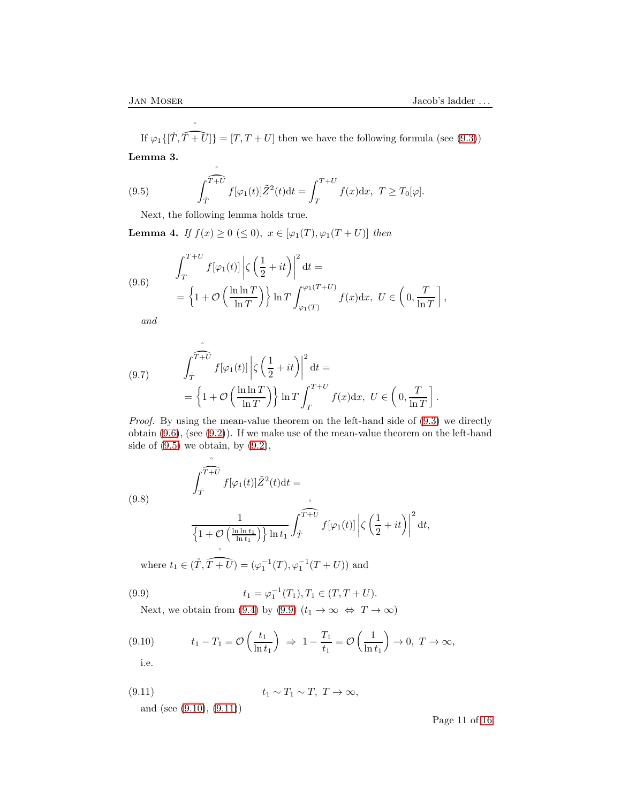If  $\varphi_1\{[\hat{T}, \hat{T+U}]\} = [T, T+U]$  then we have the following formula (see [\(9.3\)](#page-9-3)) Lemma 3.

(9.5) 
$$
\int_{\hat{T}}^{\hat{T}+U} f[\varphi_1(t)] \tilde{Z}^2(t) dt = \int_{T}^{T+U} f(x) dx, \ T \ge T_0[\varphi].
$$

<span id="page-10-1"></span>Next, the following lemma holds true.

˚

**Lemma 4.** If  $f(x) \ge 0 \le 0$ ,  $x \in [\varphi_1(T), \varphi_1(T+U)]$  then

<span id="page-10-0"></span>(9.6) 
$$
\int_{T}^{T+U} f[\varphi_{1}(t)] \left| \zeta \left( \frac{1}{2} + it \right) \right|^{2} dt =
$$

$$
= \left\{ 1 + \mathcal{O} \left( \frac{\ln \ln T}{\ln T} \right) \right\} \ln T \int_{\varphi_{1}(T)}^{\varphi_{1}(T+U)} f(x) dx, \ U \in \left( 0, \frac{T}{\ln T} \right],
$$

and

<span id="page-10-5"></span>(9.7) 
$$
\int_{\mathring{T}}^{\widehat{T+U}} f[\varphi_1(t)] \left| \zeta \left( \frac{1}{2} + it \right) \right|^2 dt =
$$

$$
= \left\{ 1 + \mathcal{O} \left( \frac{\ln \ln T}{\ln T} \right) \right\} \ln T \int_{T}^{T+U} f(x) dx, \ U \in \left( 0, \frac{T}{\ln T} \right].
$$

Proof. By using the mean-value theorem on the left-hand side of  $(9.3)$  we directly obtain [\(9.6\)](#page-10-0), (see [\(9.2\)](#page-9-4)). If we make use of the mean-value theorem on the left-hand side of  $(9.5)$  we obtain, by  $(9.2)$ ,

<span id="page-10-6"></span>(9.8) 
$$
\int_{\hat{T}}^{\hat{T}+\hat{U}} f[\varphi_1(t)] \tilde{Z}^2(t) dt =
$$

$$
\frac{1}{\left\{1 + \mathcal{O}\left(\frac{\ln \ln t_1}{\ln t_1}\right)\right\} \ln t_1} \int_{\hat{T}}^{\hat{T}+\hat{U}} f[\varphi_1(t)] \left|\zeta\left(\frac{1}{2} + it\right)\right|^2 dt,
$$

where  $t_1 \in (\mathring{T}, \overbrace{T+U}) = (\varphi_1^{-1}(T), \varphi_1^{-1}(T+U))$  and

(9.9) 
$$
t_1 = \varphi_1^{-1}(T_1), T_1 \in (T, T + U).
$$

<span id="page-10-2"></span>Next, we obtain from [\(9.4\)](#page-9-5) by [\(9.9\)](#page-10-2)  $(t_1 \to \infty \Leftrightarrow T \to \infty)$ 

$$
(9.10) \t t_1 - T_1 = \mathcal{O}\left(\frac{t_1}{\ln t_1}\right) \Rightarrow 1 - \frac{T_1}{t_1} = \mathcal{O}\left(\frac{1}{\ln t_1}\right) \to 0, T \to \infty,
$$

<span id="page-10-4"></span><span id="page-10-3"></span>i.e.

(9.11) 
$$
t_1 \sim T_1 \sim T
$$
,  $T \to \infty$ ,  
and (see (9.10), (9.11))

Page 11 of [16](#page-15-3)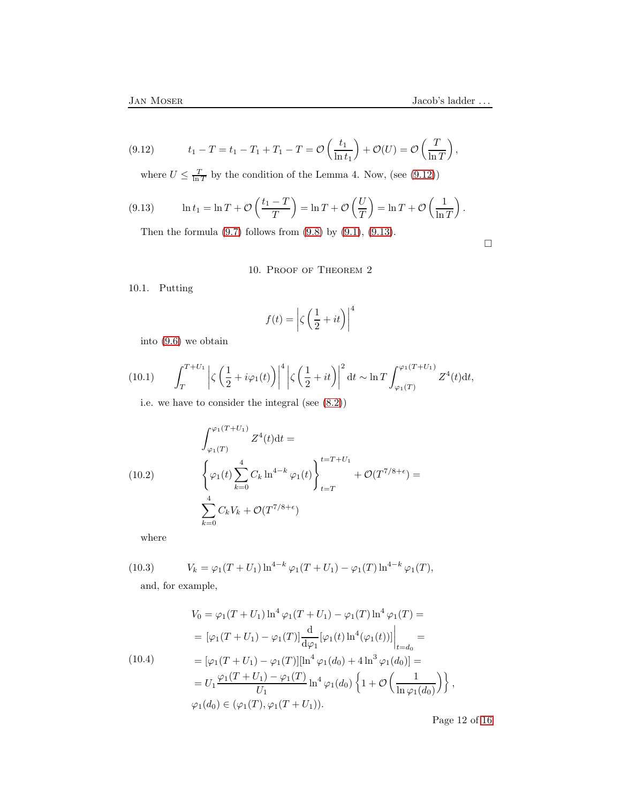(9.12) 
$$
t_1 - T = t_1 - T_1 + T_1 - T = \mathcal{O}\left(\frac{t_1}{\ln t_1}\right) + \mathcal{O}(U) = \mathcal{O}\left(\frac{T}{\ln T}\right),
$$

<span id="page-11-0"></span>where  $U \leq \frac{T}{\ln T}$  by the condition of the Lemma 4. Now, (see [\(9.12\)](#page-11-0))

(9.13) 
$$
\ln t_1 = \ln T + \mathcal{O}\left(\frac{t_1 - T}{T}\right) = \ln T + \mathcal{O}\left(\frac{U}{T}\right) = \ln T + \mathcal{O}\left(\frac{1}{\ln T}\right).
$$

<span id="page-11-1"></span>Then the formula  $(9.7)$  follows from  $(9.8)$  by  $(9.1)$ ,  $(9.13)$ .

 $\Box$ 

10. Proof of Theorem 2

10.1. Putting

$$
f(t) = \left| \zeta \left( \frac{1}{2} + it \right) \right|^4
$$

into [\(9.6\)](#page-10-0) we obtain

(10.1) 
$$
\int_T^{T+U_1} \left| \zeta \left( \frac{1}{2} + i \varphi_1(t) \right) \right|^4 \left| \zeta \left( \frac{1}{2} + it \right) \right|^2 dt \sim \ln T \int_{\varphi_1(T)}^{\varphi_1(T+U_1)} Z^4(t) dt,
$$

<span id="page-11-3"></span>i.e. we have to consider the integral (see [\(8.2\)](#page-8-1))

<span id="page-11-4"></span>(10.2)  
\n
$$
\int_{\varphi_1(T)}^{\varphi_1(T+U_1)} Z^4(t) dt =
$$
\n
$$
\left\{ \varphi_1(t) \sum_{k=0}^4 C_k \ln^{4-k} \varphi_1(t) \right\}_{t=T}^{t=T+U_1} + \mathcal{O}(T^{7/8+\epsilon}) =
$$
\n
$$
\sum_{k=0}^4 C_k V_k + \mathcal{O}(T^{7/8+\epsilon})
$$

where

(10.3) 
$$
V_k = \varphi_1(T + U_1) \ln^{4-k} \varphi_1(T + U_1) - \varphi_1(T) \ln^{4-k} \varphi_1(T),
$$

and, for example,

<span id="page-11-2"></span>
$$
V_0 = \varphi_1(T + U_1) \ln^4 \varphi_1(T + U_1) - \varphi_1(T) \ln^4 \varphi_1(T) =
$$
  
\n
$$
= [\varphi_1(T + U_1) - \varphi_1(T)] \frac{d}{d\varphi_1} [\varphi_1(t) \ln^4 (\varphi_1(t))] \Big|_{t = d_0} =
$$
  
\n(10.4) 
$$
= [\varphi_1(T + U_1) - \varphi_1(T)][\ln^4 \varphi_1(d_0) + 4 \ln^3 \varphi_1(d_0)] =
$$
  
\n
$$
= U_1 \frac{\varphi_1(T + U_1) - \varphi_1(T)}{U_1} \ln^4 \varphi_1(d_0) \left\{ 1 + \mathcal{O} \left( \frac{1}{\ln \varphi_1(d_0)} \right) \right\},
$$
  
\n
$$
\varphi_1(d_0) \in (\varphi_1(T), \varphi_1(T + U_1)).
$$

Page 12 of [16](#page-15-3)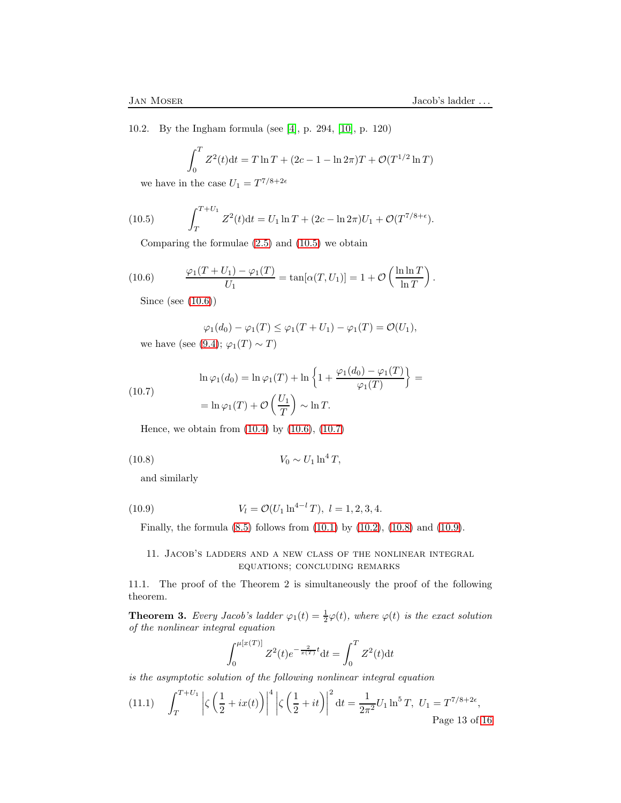10.2. By the Ingham formula (see [\[4\]](#page-15-8), p. 294, [\[10\]](#page-15-7), p. 120)

$$
\int_0^T Z^2(t)dt = T \ln T + (2c - 1 - \ln 2\pi)T + \mathcal{O}(T^{1/2} \ln T)
$$

we have in the case  $U_1 = T^{7/8+2\epsilon}$ 

(10.5) 
$$
\int_{T}^{T+U_1} Z^2(t) dt = U_1 \ln T + (2c - \ln 2\pi) U_1 + \mathcal{O}(T^{7/8 + \epsilon}).
$$

<span id="page-12-0"></span>Comparing the formulae [\(2.5\)](#page-2-1) and [\(10.5\)](#page-12-0) we obtain

(10.6) 
$$
\frac{\varphi_1(T+U_1) - \varphi_1(T)}{U_1} = \tan[\alpha(T, U_1)] = 1 + \mathcal{O}\left(\frac{\ln \ln T}{\ln T}\right).
$$

<span id="page-12-1"></span>Since (see [\(10.6\)](#page-12-1))

$$
\varphi_1(d_0) - \varphi_1(T) \le \varphi_1(T + U_1) - \varphi_1(T) = \mathcal{O}(U_1),
$$
 we have (see (9.4);  $\varphi_1(T) \sim T$ )

<span id="page-12-2"></span>(10.7) 
$$
\ln \varphi_1(d_0) = \ln \varphi_1(T) + \ln \left\{ 1 + \frac{\varphi_1(d_0) - \varphi_1(T)}{\varphi_1(T)} \right\} =
$$

$$
= \ln \varphi_1(T) + \mathcal{O}\left(\frac{U_1}{T}\right) \sim \ln T.
$$

Hence, we obtain from [\(10.4\)](#page-11-2) by [\(10.6\)](#page-12-1), [\(10.7\)](#page-12-2)

(10.8) 
$$
V_0 \sim U_1 \ln^4 T,
$$

<span id="page-12-3"></span>and similarly

(10.9) 
$$
V_l = \mathcal{O}(U_1 \ln^{4-l} T), \ l = 1, 2, 3, 4.
$$

<span id="page-12-4"></span>Finally, the formula [\(8.5\)](#page-8-4) follows from [\(10.1\)](#page-11-3) by [\(10.2\)](#page-11-4), [\(10.8\)](#page-12-3) and [\(10.9\)](#page-12-4).

11. Jacob's ladders and a new class of the nonlinear integral equations; concluding remarks

11.1. The proof of the Theorem 2 is simultaneously the proof of the following theorem.

**Theorem 3.** Every Jacob's ladder  $\varphi_1(t) = \frac{1}{2}\varphi(t)$ , where  $\varphi(t)$  is the exact solution of the nonlinear integral equation

$$
\int_0^{\mu[x(T)]} Z^2(t)e^{-\frac{2}{x(T)}t}dt = \int_0^T Z^2(t)dt
$$

is the asymptotic solution of the following nonlinear integral equation

4

<span id="page-12-5"></span>(11.1) 
$$
\int_{T}^{T+U_1} \left| \zeta \left( \frac{1}{2} + ix(t) \right) \right|^4 \left| \zeta \left( \frac{1}{2} + it \right) \right|^2 dt = \frac{1}{2\pi^2} U_1 \ln^5 T, \ U_1 = T^{7/8 + 2\epsilon},
$$
\nPage 13 of 16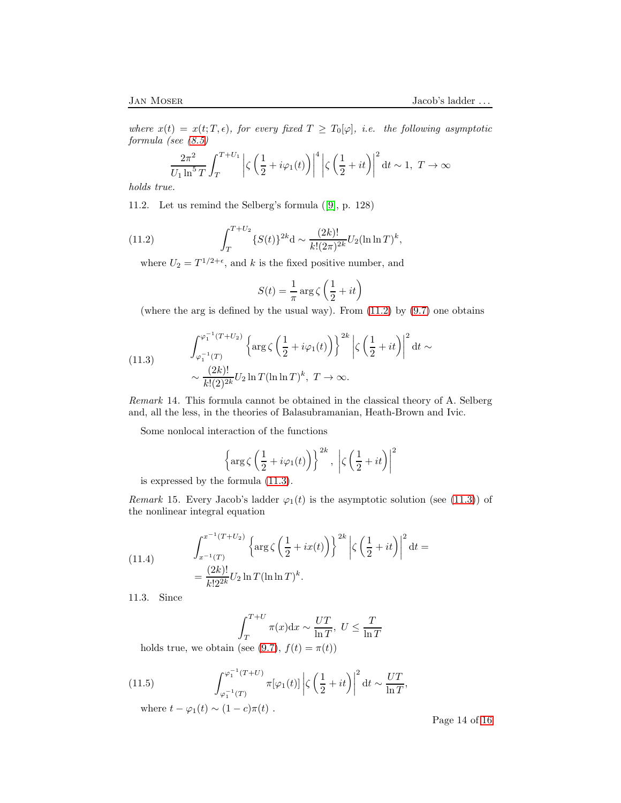where  $x(t) = x(t; T, \epsilon)$ , for every fixed  $T \geq T_0[\varphi]$ , i.e. the following asymptotic formula (see [\(8.5\)](#page-8-4)

$$
\frac{2\pi^2}{U_1\ln^5 T}\int_T^{T+U_1}\left|\zeta\left(\frac{1}{2}+i\varphi_1(t)\right)\right|^4\left|\zeta\left(\frac{1}{2}+it\right)\right|^2\mathrm{d}t\sim 1,\ T\to\infty
$$

holds true.

11.2. Let us remind the Selberg's formula([\[9\]](#page-15-9), p. 128)

(11.2) 
$$
\int_T^{T+U_2} \{S(t)\}^{2k} d \sim \frac{(2k)!}{k!(2\pi)^{2k}} U_2(\ln \ln T)^k,
$$

where  $U_2 = T^{1/2+\epsilon}$ , and k is the fixed positive number, and

<span id="page-13-0"></span>
$$
S(t)=\frac{1}{\pi}\arg\zeta\left(\frac{1}{2}+it\right)
$$

(where the arg is defined by the usual way). From  $(11.2)$  by  $(9.7)$  one obtains

<span id="page-13-1"></span>(11.3) 
$$
\int_{\varphi_1^{-1}(T)}^{\varphi_1^{-1}(T+U_2)} \left\{ \arg \zeta \left( \frac{1}{2} + i\varphi_1(t) \right) \right\}^{2k} \left| \zeta \left( \frac{1}{2} + it \right) \right|^2 dt \sim
$$

$$
\sim \frac{(2k)!}{k!(2)^{2k}} U_2 \ln T (\ln \ln T)^k, \ T \to \infty.
$$

Remark 14. This formula cannot be obtained in the classical theory of A. Selberg and, all the less, in the theories of Balasubramanian, Heath-Brown and Ivic.

Some nonlocal interaction of the functions

$$
\left\{\arg\zeta\left(\frac{1}{2}+i\varphi_1(t)\right)\right\}^{2k}, \left|\zeta\left(\frac{1}{2}+it\right)\right|^2
$$

is expressed by the formula [\(11.3\)](#page-13-1).

Remark 15. Every Jacob's ladder  $\varphi_1(t)$  is the asymptotic solution (see [\(11.3\)](#page-13-1)) of the nonlinear integral equation

<span id="page-13-3"></span>(11.4) 
$$
\int_{x^{-1}(T)}^{x^{-1}(T+U_2)} \left\{ \arg \zeta \left( \frac{1}{2} + ix(t) \right) \right\}^{2k} \left| \zeta \left( \frac{1}{2} + it \right) \right|^2 dt =
$$

$$
= \frac{(2k)!}{k! 2^{2k}} U_2 \ln T (\ln \ln T)^k.
$$

11.3. Since

<span id="page-13-2"></span>
$$
\int_{T}^{T+U} \pi(x) dx \sim \frac{UT}{\ln T}, U \leq \frac{T}{\ln T}
$$

holds true, we obtain (see [\(9.7\)](#page-10-5),  $f(t) = \pi(t)$ )

(11.5) 
$$
\int_{\varphi_1^{-1}(T)}^{\varphi_1^{-1}(T+U)} \pi[\varphi_1(t)] \left|\zeta\left(\frac{1}{2}+it\right)\right|^2 dt \sim \frac{UT}{\ln T},
$$

where  $t - \varphi_1(t) \sim (1 - c)\pi(t)$ .

Page 14 of [16](#page-15-3)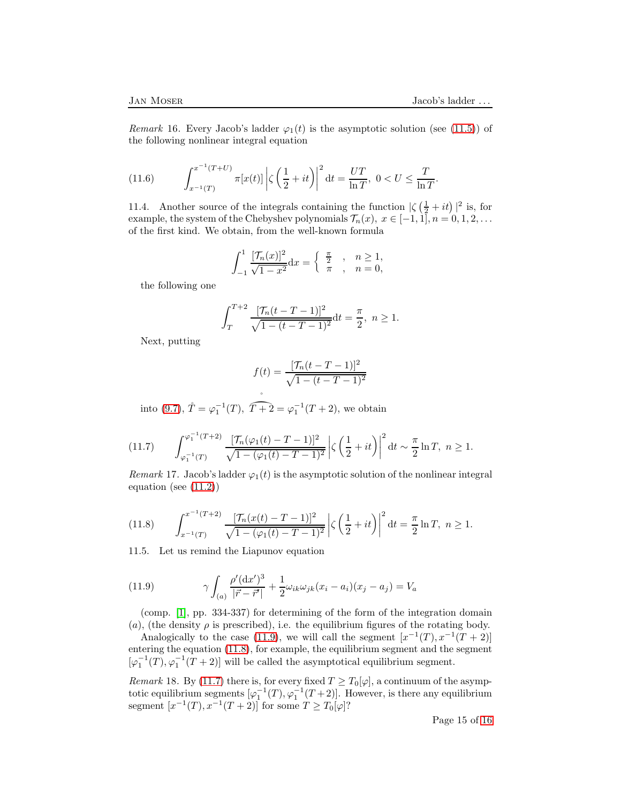Remark 16. Every Jacob's ladder  $\varphi_1(t)$  is the asymptotic solution (see [\(11.5\)](#page-13-2)) of the following nonlinear integral equation

<span id="page-14-3"></span>(11.6) 
$$
\int_{x^{-1}(T)}^{x^{-1}(T+U)} \pi[x(t)] \left| \zeta \left( \frac{1}{2} + it \right) \right|^2 dt = \frac{UT}{\ln T}, \ 0 < U \le \frac{T}{\ln T}.
$$

11.4. Another source of the integrals containing the function  $|\zeta(\frac{1}{2}+it)|^2$  is, for example, the system of the Chebyshev polynomials  $\mathcal{T}_n(x)$ ,  $x \in [-1,1], n = 0,1,2,...$ of the first kind. We obtain, from the well-known formula

$$
\int_{-1}^{1} \frac{[\mathcal{T}_n(x)]^2}{\sqrt{1-x^2}} dx = \begin{cases} \frac{\pi}{2} & , n \ge 1, \\ \pi, n = 0, \end{cases}
$$

the following one

$$
\int_{T}^{T+2} \frac{[\mathcal{T}_n(t-T-1)]^2}{\sqrt{1-(t-T-1)^2}} dt = \frac{\pi}{2}, \ n \ge 1.
$$

Next, putting

$$
f(t) = \frac{[\mathcal{T}_n(t - T - 1)]^2}{\sqrt{1 - (t - T - 1)^2}}
$$

into [\(9.7\)](#page-10-5),  $\mathring{T} = \varphi_1^{-1}(T)$ ,  $\mathring{T+2} = \varphi_1^{-1}(T+2)$ , we obtain

<span id="page-14-2"></span>
$$
(11.7) \qquad \int_{\varphi_1^{-1}(T)}^{\varphi_1^{-1}(T+2)} \frac{[\mathcal{T}_n(\varphi_1(t) - T - 1)]^2}{\sqrt{1 - (\varphi_1(t) - T - 1)^2}} \left| \zeta\left(\frac{1}{2} + it\right) \right|^2 dt \sim \frac{\pi}{2} \ln T, \ n \ge 1.
$$

Remark 17. Jacob's ladder  $\varphi_1(t)$  is the asymptotic solution of the nonlinear integral equation (see [\(11.2\)](#page-13-0))

<span id="page-14-1"></span>
$$
(11.8) \qquad \int_{x^{-1}(T)}^{x^{-1}(T+2)} \frac{[\mathcal{T}_n(x(t) - T - 1)]^2}{\sqrt{1 - (\varphi_1(t) - T - 1)^2}} \left| \zeta \left( \frac{1}{2} + it \right) \right|^2 dt = \frac{\pi}{2} \ln T, \ n \ge 1.
$$

11.5. Let us remind the Liapunov equation

<span id="page-14-0"></span>(11.9) 
$$
\gamma \int_{(a)} \frac{\rho'(\mathrm{d}x')^3}{|\vec{r} - \vec{r}'|} + \frac{1}{2} \omega_{ik} \omega_{jk} (x_i - a_i)(x_j - a_j) = V_a
$$

(comp. [\[1\]](#page-15-10), pp. 334-337) for determining of the form of the integration domain (a), (the density  $\rho$  is prescribed), i.e. the equilibrium figures of the rotating body.

Analogically to the case [\(11.9\)](#page-14-0), we will call the segment  $[x^{-1}(T), x^{-1}(T+2)]$ entering the equation [\(11.8\)](#page-14-1), for example, the equilibrium segment and the segment  $[\varphi_1^{-1}(T), \varphi_1^{-1}(T+2)]$  will be called the asymptotical equilibrium segment.

Remark 18. By [\(11.7\)](#page-14-2) there is, for every fixed  $T \geq T_0[\varphi]$ , a continuum of the asymptotic equilibrium segments  $[\varphi_1^{-1}(T), \varphi_1^{-1}(T+2)]$ . However, is there any equilibrium segment  $[x^{-1}(T), x^{-1}(T+2)]$  for some  $T \ge T_0[\varphi]$ ?

Page 15 of [16](#page-15-3)